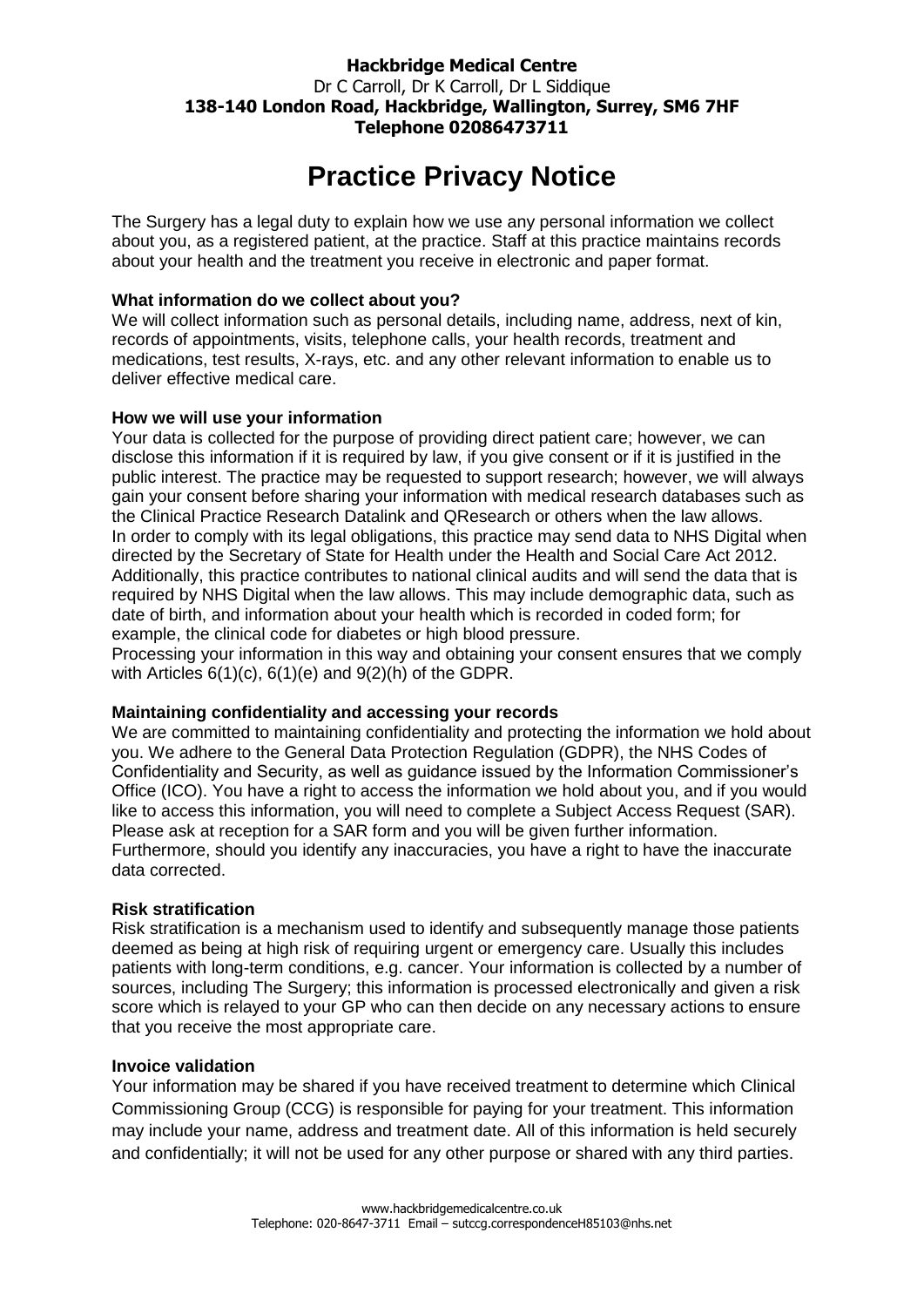# **Hackbridge Medical Centre** Dr C Carroll, Dr K Carroll, Dr L Siddique **138-140 London Road, Hackbridge, Wallington, Surrey, SM6 7HF Telephone 02086473711**

# **Practice Privacy Notice**

The Surgery has a legal duty to explain how we use any personal information we collect about you, as a registered patient, at the practice. Staff at this practice maintains records about your health and the treatment you receive in electronic and paper format.

## **What information do we collect about you?**

We will collect information such as personal details, including name, address, next of kin, records of appointments, visits, telephone calls, your health records, treatment and medications, test results, X-rays, etc. and any other relevant information to enable us to deliver effective medical care.

## **How we will use your information**

Your data is collected for the purpose of providing direct patient care; however, we can disclose this information if it is required by law, if you give consent or if it is justified in the public interest. The practice may be requested to support research; however, we will always gain your consent before sharing your information with medical research databases such as the Clinical Practice Research Datalink and QResearch or others when the law allows. In order to comply with its legal obligations, this practice may send data to NHS Digital when directed by the Secretary of State for Health under the Health and Social Care Act 2012. Additionally, this practice contributes to national clinical audits and will send the data that is required by NHS Digital when the law allows. This may include demographic data, such as date of birth, and information about your health which is recorded in coded form; for example, the clinical code for diabetes or high blood pressure.

Processing your information in this way and obtaining your consent ensures that we comply with Articles 6(1)(c), 6(1)(e) and 9(2)(h) of the GDPR.

#### **Maintaining confidentiality and accessing your records**

We are committed to maintaining confidentiality and protecting the information we hold about you. We adhere to the General Data Protection Regulation (GDPR), the NHS Codes of Confidentiality and Security, as well as guidance issued by the Information Commissioner's Office (ICO). You have a right to access the information we hold about you, and if you would like to access this information, you will need to complete a Subject Access Request (SAR). Please ask at reception for a SAR form and you will be given further information. Furthermore, should you identify any inaccuracies, you have a right to have the inaccurate data corrected.

#### **Risk stratification**

Risk stratification is a mechanism used to identify and subsequently manage those patients deemed as being at high risk of requiring urgent or emergency care. Usually this includes patients with long-term conditions, e.g. cancer. Your information is collected by a number of sources, including The Surgery; this information is processed electronically and given a risk score which is relayed to your GP who can then decide on any necessary actions to ensure that you receive the most appropriate care.

#### **Invoice validation**

Your information may be shared if you have received treatment to determine which Clinical Commissioning Group (CCG) is responsible for paying for your treatment. This information may include your name, address and treatment date. All of this information is held securely and confidentially; it will not be used for any other purpose or shared with any third parties.